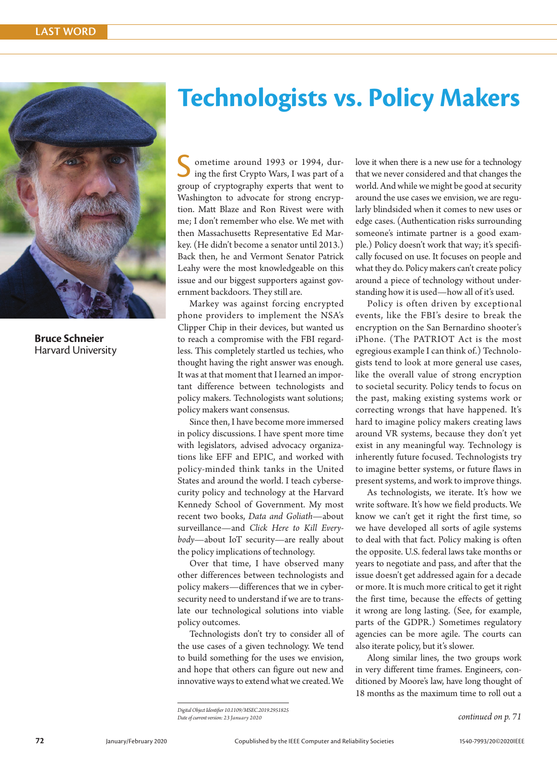

**Bruce Schneier** Harvard University

## **Technologists vs. Policy Makers**

S ometime around 1993 or 1994, during the first Crypto Wars, I was part of a group of cryptography experts that went to Washington to advocate for strong encryption. Matt Blaze and Ron Rivest were with me; I don't remember who else. We met with then Massachusetts Representative Ed Markey. (He didn't become a senator until 2013.) Back then, he and Vermont Senator Patrick Leahy were the most knowledgeable on this issue and our biggest supporters against government backdoors. They still are.

Markey was against forcing encrypted phone providers to implement the NSA's Clipper Chip in their devices, but wanted us to reach a compromise with the FBI regardless. This completely startled us techies, who thought having the right answer was enough. It was at that moment that I learned an important difference between technologists and policy makers. Technologists want solutions; policy makers want consensus.

Since then, I have become more immersed in policy discussions. I have spent more time with legislators, advised advocacy organizations like EFF and EPIC, and worked with policy-minded think tanks in the United States and around the world. I teach cybersecurity policy and technology at the Harvard Kennedy School of Government. My most recent two books, *Data and Goliath*—about surveillance—and *Click Here to Kill Everybody*—about IoT security—are really about the policy implications of technology.

Over that time, I have observed many other differences between technologists and policy makers—differences that we in cybersecurity need to understand if we are to translate our technological solutions into viable policy outcomes.

Technologists don't try to consider all of the use cases of a given technology. We tend to build something for the uses we envision, and hope that others can figure out new and innovative ways to extend what we created. We love it when there is a new use for a technology that we never considered and that changes the world. And while we might be good at security around the use cases we envision, we are regularly blindsided when it comes to new uses or edge cases. (Authentication risks surrounding someone's intimate partner is a good example.) Policy doesn't work that way; it's specifically focused on use. It focuses on people and what they do. Policy makers can't create policy around a piece of technology without understanding how it is used—how all of it's used.

Policy is often driven by exceptional events, like the FBI's desire to break the encryption on the San Bernardino shooter's iPhone. (The PATRIOT Act is the most egregious example I can think of.) Technologists tend to look at more general use cases, like the overall value of strong encryption to societal security. Policy tends to focus on the past, making existing systems work or correcting wrongs that have happened. It's hard to imagine policy makers creating laws around VR systems, because they don't yet exist in any meaningful way. Technology is inherently future focused. Technologists try to imagine better systems, or future flaws in present systems, and work to improve things.

As technologists, we iterate. It's how we write software. It's how we field products. We know we can't get it right the first time, so we have developed all sorts of agile systems to deal with that fact. Policy making is often the opposite. U.S. federal laws take months or years to negotiate and pass, and after that the issue doesn't get addressed again for a decade or more. It is much more critical to get it right the first time, because the effects of getting it wrong are long lasting. (See, for example, parts of the GDPR.) Sometimes regulatory agencies can be more agile. The courts can also iterate policy, but it's slower.

Along similar lines, the two groups work in very different time frames. Engineers, conditioned by Moore's law, have long thought of 18 months as the maximum time to roll out a

*Digital Object Identifier 10.1109/MSEC.2019.2951825 Date of current version: 23 January 2020*